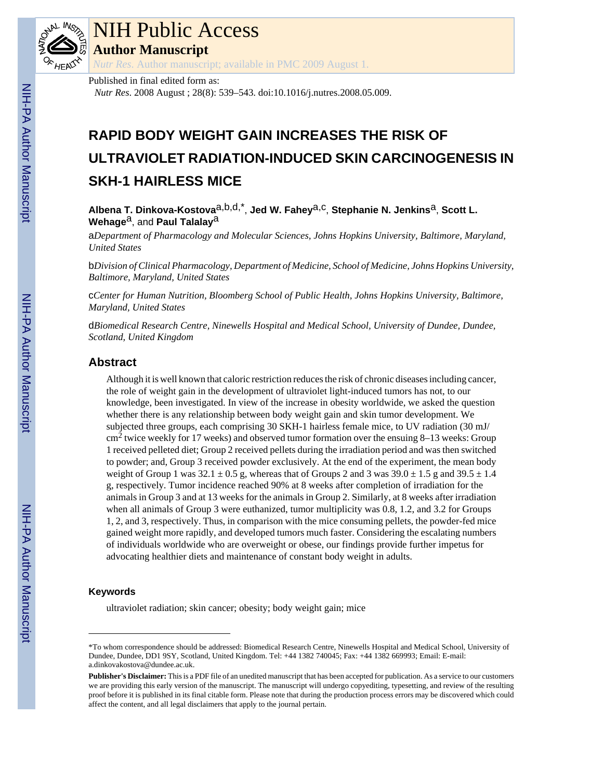

# NIH Public Access

**Author Manuscript**

*Nutr Res*. Author manuscript; available in PMC 2009 August 1.

Published in final edited form as:

*Nutr Res*. 2008 August ; 28(8): 539–543. doi:10.1016/j.nutres.2008.05.009.

## **RAPID BODY WEIGHT GAIN INCREASES THE RISK OF ULTRAVIOLET RADIATION-INDUCED SKIN CARCINOGENESIS IN SKH-1 HAIRLESS MICE**

Albena T. Dinkova-Kostova<sup>a,b,d,\*</sup>, Jed W. Fahey<sup>a,c</sup>, Stephanie N. Jenkins<sup>a</sup>, Scott L. Wehage<sup>a</sup>, and **Paul Talalay<sup>a</sup>** 

a*Department of Pharmacology and Molecular Sciences, Johns Hopkins University, Baltimore, Maryland, United States*

b*Division of Clinical Pharmacology, Department of Medicine, School of Medicine, Johns Hopkins University, Baltimore, Maryland, United States*

c*Center for Human Nutrition, Bloomberg School of Public Health, Johns Hopkins University, Baltimore, Maryland, United States*

d*Biomedical Research Centre, Ninewells Hospital and Medical School, University of Dundee, Dundee, Scotland, United Kingdom*

## **Abstract**

Although it is well known that caloric restriction reduces the risk of chronic diseases including cancer, the role of weight gain in the development of ultraviolet light-induced tumors has not, to our knowledge, been investigated. In view of the increase in obesity worldwide, we asked the question whether there is any relationship between body weight gain and skin tumor development. We subjected three groups, each comprising 30 SKH-1 hairless female mice, to UV radiation (30 mJ/  $\text{cm}^2$  twice weekly for 17 weeks) and observed tumor formation over the ensuing 8–13 weeks: Group 1 received pelleted diet; Group 2 received pellets during the irradiation period and was then switched to powder; and, Group 3 received powder exclusively. At the end of the experiment, the mean body weight of Group 1 was  $32.1 \pm 0.5$  g, whereas that of Groups 2 and 3 was  $39.0 \pm 1.5$  g and  $39.5 \pm 1.4$ g, respectively. Tumor incidence reached 90% at 8 weeks after completion of irradiation for the animals in Group 3 and at 13 weeks for the animals in Group 2. Similarly, at 8 weeks after irradiation when all animals of Group 3 were euthanized, tumor multiplicity was 0.8, 1.2, and 3.2 for Groups 1, 2, and 3, respectively. Thus, in comparison with the mice consuming pellets, the powder-fed mice gained weight more rapidly, and developed tumors much faster. Considering the escalating numbers of individuals worldwide who are overweight or obese, our findings provide further impetus for advocating healthier diets and maintenance of constant body weight in adults.

## **Keywords**

ultraviolet radiation; skin cancer; obesity; body weight gain; mice

<sup>\*</sup>To whom correspondence should be addressed: Biomedical Research Centre, Ninewells Hospital and Medical School, University of Dundee, Dundee, DD1 9SY, Scotland, United Kingdom. Tel: +44 1382 740045; Fax: +44 1382 669993; Email: E-mail: a.dinkovakostova@dundee.ac.uk.

**Publisher's Disclaimer:** This is a PDF file of an unedited manuscript that has been accepted for publication. As a service to our customers we are providing this early version of the manuscript. The manuscript will undergo copyediting, typesetting, and review of the resulting proof before it is published in its final citable form. Please note that during the production process errors may be discovered which could affect the content, and all legal disclaimers that apply to the journal pertain.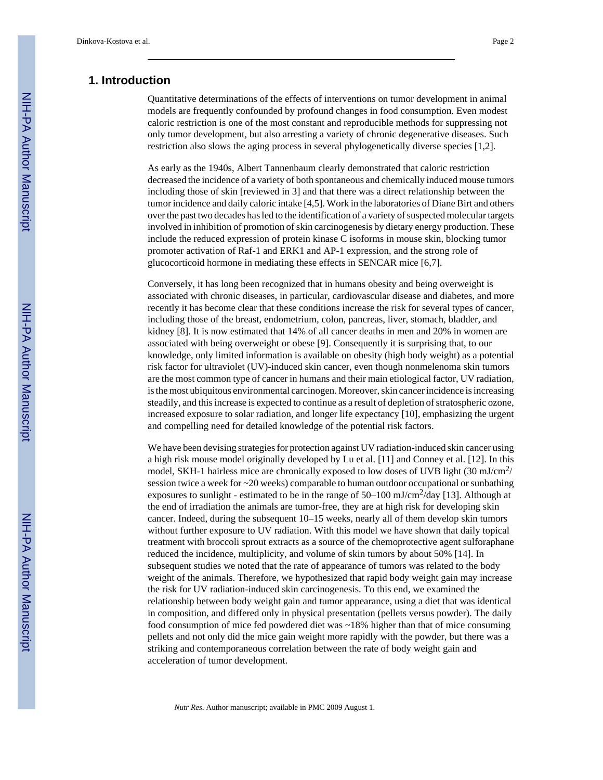## **1. Introduction**

Quantitative determinations of the effects of interventions on tumor development in animal models are frequently confounded by profound changes in food consumption. Even modest caloric restriction is one of the most constant and reproducible methods for suppressing not only tumor development, but also arresting a variety of chronic degenerative diseases. Such restriction also slows the aging process in several phylogenetically diverse species [1,2].

As early as the 1940s, Albert Tannenbaum clearly demonstrated that caloric restriction decreased the incidence of a variety of both spontaneous and chemically induced mouse tumors including those of skin [reviewed in 3] and that there was a direct relationship between the tumor incidence and daily caloric intake [4,5]. Work in the laboratories of Diane Birt and others over the past two decades has led to the identification of a variety of suspected molecular targets involved in inhibition of promotion of skin carcinogenesis by dietary energy production. These include the reduced expression of protein kinase C isoforms in mouse skin, blocking tumor promoter activation of Raf-1 and ERK1 and AP-1 expression, and the strong role of glucocorticoid hormone in mediating these effects in SENCAR mice [6,7].

Conversely, it has long been recognized that in humans obesity and being overweight is associated with chronic diseases, in particular, cardiovascular disease and diabetes, and more recently it has become clear that these conditions increase the risk for several types of cancer, including those of the breast, endometrium, colon, pancreas, liver, stomach, bladder, and kidney [8]. It is now estimated that 14% of all cancer deaths in men and 20% in women are associated with being overweight or obese [9]. Consequently it is surprising that, to our knowledge, only limited information is available on obesity (high body weight) as a potential risk factor for ultraviolet (UV)-induced skin cancer, even though nonmelenoma skin tumors are the most common type of cancer in humans and their main etiological factor, UV radiation, is the most ubiquitous environmental carcinogen. Moreover, skin cancer incidence is increasing steadily, and this increase is expected to continue as a result of depletion of stratospheric ozone, increased exposure to solar radiation, and longer life expectancy [10], emphasizing the urgent and compelling need for detailed knowledge of the potential risk factors.

We have been devising strategies for protection against UV radiation-induced skin cancer using a high risk mouse model originally developed by Lu et al. [11] and Conney et al. [12]. In this model, SKH-1 hairless mice are chronically exposed to low doses of UVB light  $(30 \text{ mJ/cm}^2$ / session twice a week for ~20 weeks) comparable to human outdoor occupational or sunbathing exposures to sunlight - estimated to be in the range of  $50-100$  mJ/cm<sup>2</sup>/day [13]. Although at the end of irradiation the animals are tumor-free, they are at high risk for developing skin cancer. Indeed, during the subsequent 10–15 weeks, nearly all of them develop skin tumors without further exposure to UV radiation. With this model we have shown that daily topical treatment with broccoli sprout extracts as a source of the chemoprotective agent sulforaphane reduced the incidence, multiplicity, and volume of skin tumors by about 50% [14]. In subsequent studies we noted that the rate of appearance of tumors was related to the body weight of the animals. Therefore, we hypothesized that rapid body weight gain may increase the risk for UV radiation-induced skin carcinogenesis. To this end, we examined the relationship between body weight gain and tumor appearance, using a diet that was identical in composition, and differed only in physical presentation (pellets versus powder). The daily food consumption of mice fed powdered diet was ~18% higher than that of mice consuming pellets and not only did the mice gain weight more rapidly with the powder, but there was a striking and contemporaneous correlation between the rate of body weight gain and acceleration of tumor development.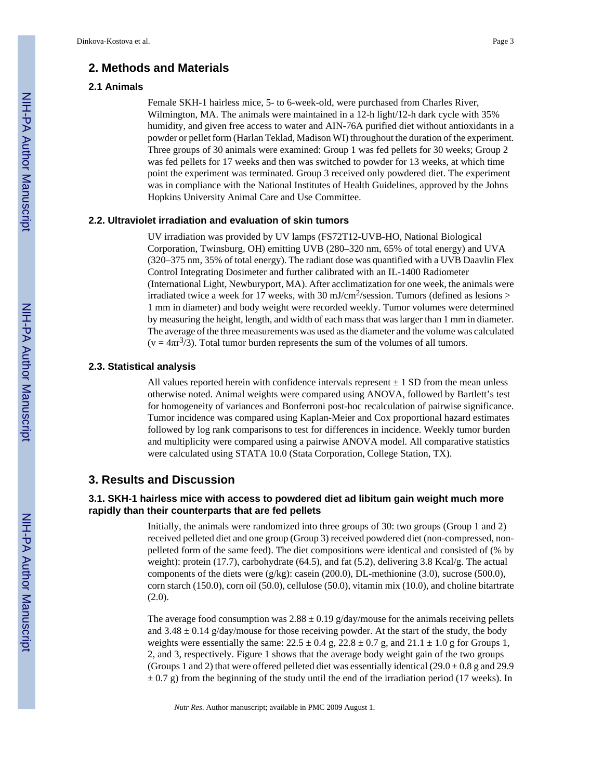## **2. Methods and Materials**

## **2.1 Animals**

Female SKH-1 hairless mice, 5- to 6-week-old, were purchased from Charles River, Wilmington, MA. The animals were maintained in a 12-h light/12-h dark cycle with 35% humidity, and given free access to water and AIN-76A purified diet without antioxidants in a powder or pellet form (Harlan Teklad, Madison WI) throughout the duration of the experiment. Three groups of 30 animals were examined: Group 1 was fed pellets for 30 weeks; Group 2 was fed pellets for 17 weeks and then was switched to powder for 13 weeks, at which time point the experiment was terminated. Group 3 received only powdered diet. The experiment was in compliance with the National Institutes of Health Guidelines, approved by the Johns Hopkins University Animal Care and Use Committee.

#### **2.2. Ultraviolet irradiation and evaluation of skin tumors**

UV irradiation was provided by UV lamps (FS72T12-UVB-HO, National Biological Corporation, Twinsburg, OH) emitting UVB (280–320 nm, 65% of total energy) and UVA (320–375 nm, 35% of total energy). The radiant dose was quantified with a UVB Daavlin Flex Control Integrating Dosimeter and further calibrated with an IL-1400 Radiometer (International Light, Newburyport, MA). After acclimatization for one week, the animals were irradiated twice a week for 17 weeks, with 30 mJ/cm<sup>2</sup>/session. Tumors (defined as lesions > 1 mm in diameter) and body weight were recorded weekly. Tumor volumes were determined by measuring the height, length, and width of each mass that was larger than 1 mm in diameter. The average of the three measurements was used as the diameter and the volume was calculated  $(v = 4\pi r^3/3)$ . Total tumor burden represents the sum of the volumes of all tumors.

#### **2.3. Statistical analysis**

All values reported herein with confidence intervals represent  $\pm 1$  SD from the mean unless otherwise noted. Animal weights were compared using ANOVA, followed by Bartlett's test for homogeneity of variances and Bonferroni post-hoc recalculation of pairwise significance. Tumor incidence was compared using Kaplan-Meier and Cox proportional hazard estimates followed by log rank comparisons to test for differences in incidence. Weekly tumor burden and multiplicity were compared using a pairwise ANOVA model. All comparative statistics were calculated using STATA 10.0 (Stata Corporation, College Station, TX).

## **3. Results and Discussion**

## **3.1. SKH-1 hairless mice with access to powdered diet ad libitum gain weight much more rapidly than their counterparts that are fed pellets**

Initially, the animals were randomized into three groups of 30: two groups (Group 1 and 2) received pelleted diet and one group (Group 3) received powdered diet (non-compressed, nonpelleted form of the same feed). The diet compositions were identical and consisted of (% by weight): protein (17.7), carbohydrate (64.5), and fat (5.2), delivering 3.8 Kcal/g. The actual components of the diets were (g/kg): casein (200.0), DL-methionine (3.0), sucrose (500.0), corn starch (150.0), corn oil (50.0), cellulose (50.0), vitamin mix (10.0), and choline bitartrate  $(2.0).$ 

The average food consumption was  $2.88 \pm 0.19$  g/day/mouse for the animals receiving pellets and  $3.48 \pm 0.14$  g/day/mouse for those receiving powder. At the start of the study, the body weights were essentially the same:  $22.5 \pm 0.4$  g,  $22.8 \pm 0.7$  g, and  $21.1 \pm 1.0$  g for Groups 1, 2, and 3, respectively. Figure 1 shows that the average body weight gain of the two groups (Groups 1 and 2) that were offered pelleted diet was essentially identical  $(29.0 \pm 0.8 \text{ g and } 29.9 \text{ m})$  $\pm$  0.7 g) from the beginning of the study until the end of the irradiation period (17 weeks). In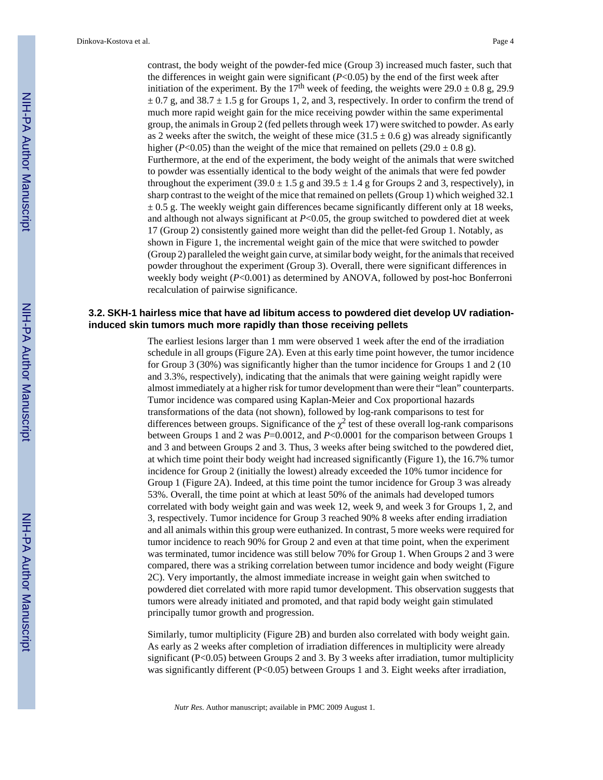contrast, the body weight of the powder-fed mice (Group 3) increased much faster, such that the differences in weight gain were significant (*P*<0.05) by the end of the first week after initiation of the experiment. By the 17<sup>th</sup> week of feeding, the weights were 29.0  $\pm$  0.8 g, 29.9  $\pm$  0.7 g, and 38.7  $\pm$  1.5 g for Groups 1, 2, and 3, respectively. In order to confirm the trend of much more rapid weight gain for the mice receiving powder within the same experimental group, the animals in Group 2 (fed pellets through week 17) were switched to powder. As early as 2 weeks after the switch, the weight of these mice  $(31.5 \pm 0.6 \text{ g})$  was already significantly higher (*P*<0.05) than the weight of the mice that remained on pellets (29.0  $\pm$  0.8 g). Furthermore, at the end of the experiment, the body weight of the animals that were switched to powder was essentially identical to the body weight of the animals that were fed powder throughout the experiment  $(39.0 \pm 1.5 \text{ g}$  and  $39.5 \pm 1.4 \text{ g}$  for Groups 2 and 3, respectively), in sharp contrast to the weight of the mice that remained on pellets (Group 1) which weighed 32.1  $\pm$  0.5 g. The weekly weight gain differences became significantly different only at 18 weeks, and although not always significant at *P*<0.05, the group switched to powdered diet at week 17 (Group 2) consistently gained more weight than did the pellet-fed Group 1. Notably, as shown in Figure 1, the incremental weight gain of the mice that were switched to powder (Group 2) paralleled the weight gain curve, at similar body weight, for the animals that received powder throughout the experiment (Group 3). Overall, there were significant differences in weekly body weight (*P*<0.001) as determined by ANOVA, followed by post-hoc Bonferroni recalculation of pairwise significance.

## **3.2. SKH-1 hairless mice that have ad libitum access to powdered diet develop UV radiationinduced skin tumors much more rapidly than those receiving pellets**

The earliest lesions larger than 1 mm were observed 1 week after the end of the irradiation schedule in all groups (Figure 2A). Even at this early time point however, the tumor incidence for Group 3 (30%) was significantly higher than the tumor incidence for Groups 1 and 2 (10 and 3.3%, respectively), indicating that the animals that were gaining weight rapidly were almost immediately at a higher risk for tumor development than were their "lean" counterparts. Tumor incidence was compared using Kaplan-Meier and Cox proportional hazards transformations of the data (not shown), followed by log-rank comparisons to test for differences between groups. Significance of the  $\chi^2$  test of these overall log-rank comparisons between Groups 1 and 2 was *P*=0.0012, and *P*<0.0001 for the comparison between Groups 1 and 3 and between Groups 2 and 3. Thus, 3 weeks after being switched to the powdered diet, at which time point their body weight had increased significantly (Figure 1), the 16.7% tumor incidence for Group 2 (initially the lowest) already exceeded the 10% tumor incidence for Group 1 (Figure 2A). Indeed, at this time point the tumor incidence for Group 3 was already 53%. Overall, the time point at which at least 50% of the animals had developed tumors correlated with body weight gain and was week 12, week 9, and week 3 for Groups 1, 2, and 3, respectively. Tumor incidence for Group 3 reached 90% 8 weeks after ending irradiation and all animals within this group were euthanized. In contrast, 5 more weeks were required for tumor incidence to reach 90% for Group 2 and even at that time point, when the experiment was terminated, tumor incidence was still below 70% for Group 1. When Groups 2 and 3 were compared, there was a striking correlation between tumor incidence and body weight (Figure 2C). Very importantly, the almost immediate increase in weight gain when switched to powdered diet correlated with more rapid tumor development. This observation suggests that tumors were already initiated and promoted, and that rapid body weight gain stimulated principally tumor growth and progression.

Similarly, tumor multiplicity (Figure 2B) and burden also correlated with body weight gain. As early as 2 weeks after completion of irradiation differences in multiplicity were already significant ( $P<0.05$ ) between Groups 2 and 3. By 3 weeks after irradiation, tumor multiplicity was significantly different (P<0.05) between Groups 1 and 3. Eight weeks after irradiation,

*Nutr Res*. Author manuscript; available in PMC 2009 August 1.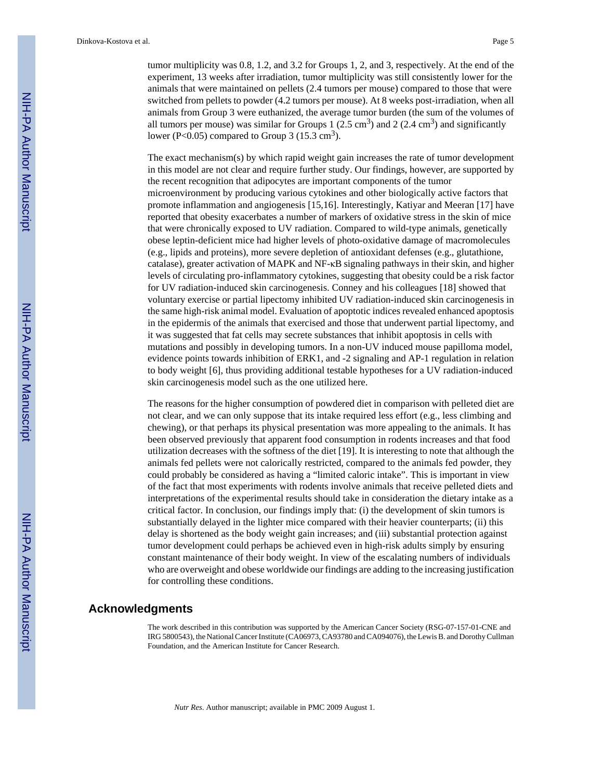tumor multiplicity was 0.8, 1.2, and 3.2 for Groups 1, 2, and 3, respectively. At the end of the experiment, 13 weeks after irradiation, tumor multiplicity was still consistently lower for the animals that were maintained on pellets (2.4 tumors per mouse) compared to those that were switched from pellets to powder (4.2 tumors per mouse). At 8 weeks post-irradiation, when all animals from Group 3 were euthanized, the average tumor burden (the sum of the volumes of all tumors per mouse) was similar for Groups 1  $(2.5 \text{ cm}^3)$  and 2  $(2.4 \text{ cm}^3)$  and significantly lower (P<0.05) compared to Group 3 (15.3 cm<sup>3</sup>).

The exact mechanism(s) by which rapid weight gain increases the rate of tumor development in this model are not clear and require further study. Our findings, however, are supported by the recent recognition that adipocytes are important components of the tumor microenvironment by producing various cytokines and other biologically active factors that promote inflammation and angiogenesis [15,16]. Interestingly, Katiyar and Meeran [17] have reported that obesity exacerbates a number of markers of oxidative stress in the skin of mice that were chronically exposed to UV radiation. Compared to wild-type animals, genetically obese leptin-deficient mice had higher levels of photo-oxidative damage of macromolecules (e.g., lipids and proteins), more severe depletion of antioxidant defenses (e.g., glutathione, catalase), greater activation of MAPK and NF-κB signaling pathways in their skin, and higher levels of circulating pro-inflammatory cytokines, suggesting that obesity could be a risk factor for UV radiation-induced skin carcinogenesis. Conney and his colleagues [18] showed that voluntary exercise or partial lipectomy inhibited UV radiation-induced skin carcinogenesis in the same high-risk animal model. Evaluation of apoptotic indices revealed enhanced apoptosis in the epidermis of the animals that exercised and those that underwent partial lipectomy, and it was suggested that fat cells may secrete substances that inhibit apoptosis in cells with mutations and possibly in developing tumors. In a non-UV induced mouse papilloma model, evidence points towards inhibition of ERK1, and -2 signaling and AP-1 regulation in relation to body weight [6], thus providing additional testable hypotheses for a UV radiation-induced skin carcinogenesis model such as the one utilized here.

The reasons for the higher consumption of powdered diet in comparison with pelleted diet are not clear, and we can only suppose that its intake required less effort (e.g., less climbing and chewing), or that perhaps its physical presentation was more appealing to the animals. It has been observed previously that apparent food consumption in rodents increases and that food utilization decreases with the softness of the diet [19]. It is interesting to note that although the animals fed pellets were not calorically restricted, compared to the animals fed powder, they could probably be considered as having a "limited caloric intake". This is important in view of the fact that most experiments with rodents involve animals that receive pelleted diets and interpretations of the experimental results should take in consideration the dietary intake as a critical factor. In conclusion, our findings imply that: (i) the development of skin tumors is substantially delayed in the lighter mice compared with their heavier counterparts; (ii) this delay is shortened as the body weight gain increases; and (iii) substantial protection against tumor development could perhaps be achieved even in high-risk adults simply by ensuring constant maintenance of their body weight. In view of the escalating numbers of individuals who are overweight and obese worldwide our findings are adding to the increasing justification for controlling these conditions.

## **Acknowledgments**

The work described in this contribution was supported by the American Cancer Society (RSG-07-157-01-CNE and IRG 5800543), the National Cancer Institute (CA06973, CA93780 and CA094076), the Lewis B. and Dorothy Cullman Foundation, and the American Institute for Cancer Research.

*Nutr Res*. Author manuscript; available in PMC 2009 August 1.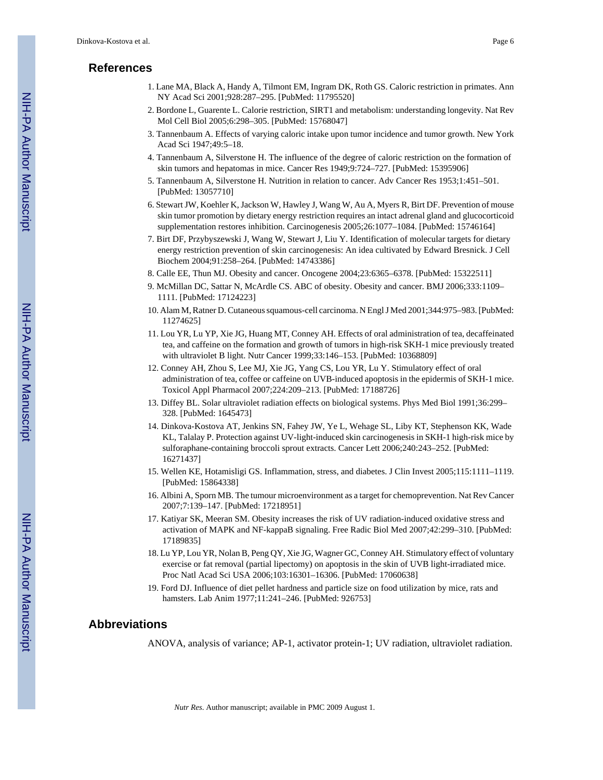## **References**

- 1. Lane MA, Black A, Handy A, Tilmont EM, Ingram DK, Roth GS. Caloric restriction in primates. Ann NY Acad Sci 2001;928:287–295. [PubMed: 11795520]
- 2. Bordone L, Guarente L. Calorie restriction, SIRT1 and metabolism: understanding longevity. Nat Rev Mol Cell Biol 2005;6:298–305. [PubMed: 15768047]
- 3. Tannenbaum A. Effects of varying caloric intake upon tumor incidence and tumor growth. New York Acad Sci 1947;49:5–18.
- 4. Tannenbaum A, Silverstone H. The influence of the degree of caloric restriction on the formation of skin tumors and hepatomas in mice. Cancer Res 1949;9:724–727. [PubMed: 15395906]
- 5. Tannenbaum A, Silverstone H. Nutrition in relation to cancer. Adv Cancer Res 1953;1:451–501. [PubMed: 13057710]
- 6. Stewart JW, Koehler K, Jackson W, Hawley J, Wang W, Au A, Myers R, Birt DF. Prevention of mouse skin tumor promotion by dietary energy restriction requires an intact adrenal gland and glucocorticoid supplementation restores inhibition. Carcinogenesis 2005;26:1077–1084. [PubMed: 15746164]
- 7. Birt DF, Przybyszewski J, Wang W, Stewart J, Liu Y. Identification of molecular targets for dietary energy restriction prevention of skin carcinogenesis: An idea cultivated by Edward Bresnick. J Cell Biochem 2004;91:258–264. [PubMed: 14743386]
- 8. Calle EE, Thun MJ. Obesity and cancer. Oncogene 2004;23:6365–6378. [PubMed: 15322511]
- 9. McMillan DC, Sattar N, McArdle CS. ABC of obesity. Obesity and cancer. BMJ 2006;333:1109– 1111. [PubMed: 17124223]
- 10. Alam M, Ratner D. Cutaneous squamous-cell carcinoma. N Engl J Med 2001;344:975–983. [PubMed: 11274625]
- 11. Lou YR, Lu YP, Xie JG, Huang MT, Conney AH. Effects of oral administration of tea, decaffeinated tea, and caffeine on the formation and growth of tumors in high-risk SKH-1 mice previously treated with ultraviolet B light. Nutr Cancer 1999;33:146–153. [PubMed: 10368809]
- 12. Conney AH, Zhou S, Lee MJ, Xie JG, Yang CS, Lou YR, Lu Y. Stimulatory effect of oral administration of tea, coffee or caffeine on UVB-induced apoptosis in the epidermis of SKH-1 mice. Toxicol Appl Pharmacol 2007;224:209–213. [PubMed: 17188726]
- 13. Diffey BL. Solar ultraviolet radiation effects on biological systems. Phys Med Biol 1991;36:299– 328. [PubMed: 1645473]
- 14. Dinkova-Kostova AT, Jenkins SN, Fahey JW, Ye L, Wehage SL, Liby KT, Stephenson KK, Wade KL, Talalay P. Protection against UV-light-induced skin carcinogenesis in SKH-1 high-risk mice by sulforaphane-containing broccoli sprout extracts. Cancer Lett 2006;240:243–252. [PubMed: 16271437]
- 15. Wellen KE, Hotamisligi GS. Inflammation, stress, and diabetes. J Clin Invest 2005;115:1111–1119. [PubMed: 15864338]
- 16. Albini A, Sporn MB. The tumour microenvironment as a target for chemoprevention. Nat Rev Cancer 2007;7:139–147. [PubMed: 17218951]
- 17. Katiyar SK, Meeran SM. Obesity increases the risk of UV radiation-induced oxidative stress and activation of MAPK and NF-kappaB signaling. Free Radic Biol Med 2007;42:299–310. [PubMed: 17189835]
- 18. Lu YP, Lou YR, Nolan B, Peng QY, Xie JG, Wagner GC, Conney AH. Stimulatory effect of voluntary exercise or fat removal (partial lipectomy) on apoptosis in the skin of UVB light-irradiated mice. Proc Natl Acad Sci USA 2006;103:16301–16306. [PubMed: 17060638]
- 19. Ford DJ. Influence of diet pellet hardness and particle size on food utilization by mice, rats and hamsters. Lab Anim 1977;11:241–246. [PubMed: 926753]

## **Abbreviations**

ANOVA, analysis of variance; AP-1, activator protein-1; UV radiation, ultraviolet radiation.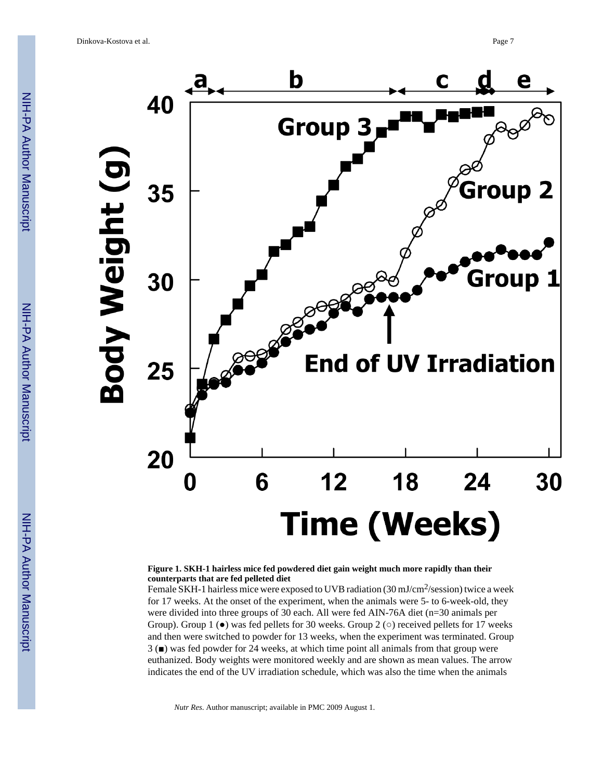

#### **Figure 1. SKH-1 hairless mice fed powdered diet gain weight much more rapidly than their counterparts that are fed pelleted diet**

Female SKH-1 hairless mice were exposed to UVB radiation (30 mJ/cm<sup>2</sup>/session) twice a week for 17 weeks. At the onset of the experiment, when the animals were 5- to 6-week-old, they were divided into three groups of 30 each. All were fed AIN-76A diet (n=30 animals per Group). Group 1 ( $\bullet$ ) was fed pellets for 30 weeks. Group 2 ( $\circ$ ) received pellets for 17 weeks and then were switched to powder for 13 weeks, when the experiment was terminated. Group 3 (■) was fed powder for 24 weeks, at which time point all animals from that group were euthanized. Body weights were monitored weekly and are shown as mean values. The arrow indicates the end of the UV irradiation schedule, which was also the time when the animals

*Nutr Res*. Author manuscript; available in PMC 2009 August 1.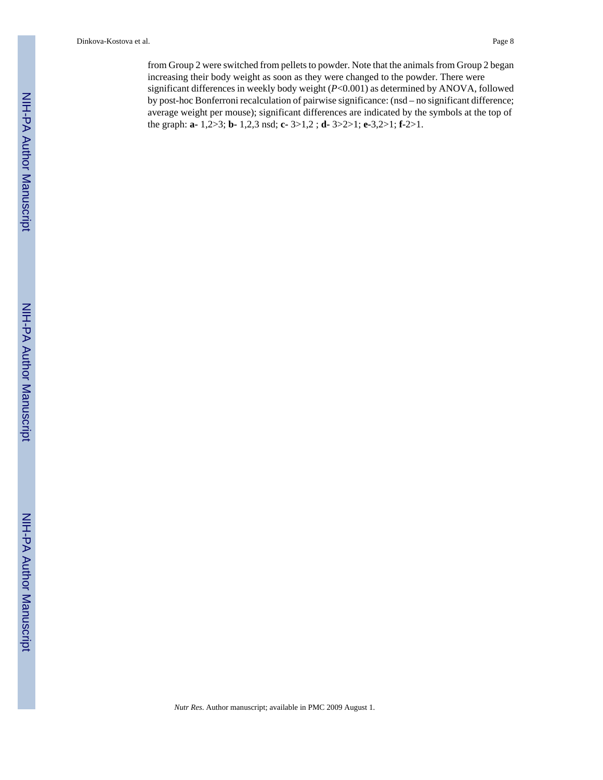Dinkova-Kostova et al. Page 8

from Group 2 were switched from pellets to powder. Note that the animals from Group 2 began increasing their body weight as soon as they were changed to the powder. There were significant differences in weekly body weight (*P*<0.001) as determined by ANOVA, followed by post-hoc Bonferroni recalculation of pairwise significance: (nsd – no significant difference; average weight per mouse); significant differences are indicated by the symbols at the top of the graph: **a-** 1,2>3; **b-** 1,2,3 nsd; **c-** 3>1,2 ; **d-** 3>2>1; **e-**3,2>1; **f-**2>1.